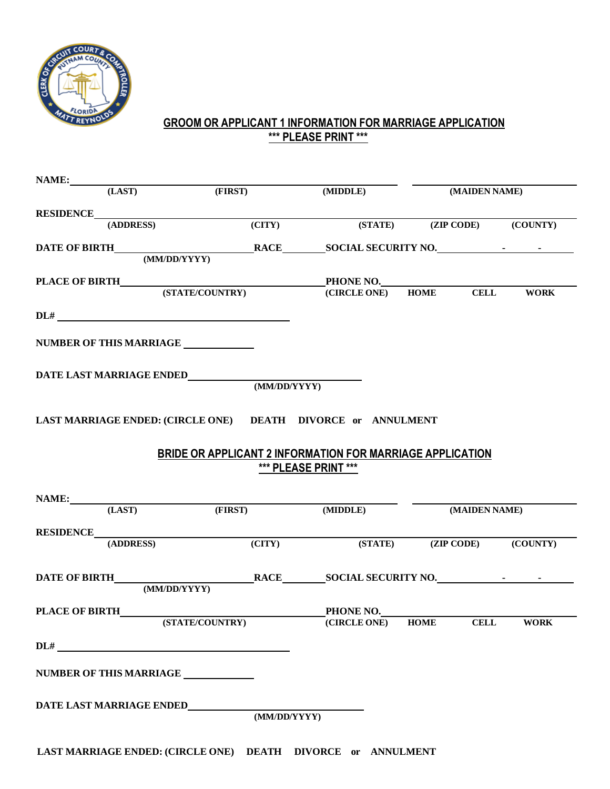

## **GROOM OR APPLICANT 1 INFORMATION FOR MARRIAGE APPLICATION \*\*\* PLEASE PRINT \*\*\***

| NAME:<br>(LAST)<br>RESIDENCE<br>(ADDRESS)                                                                                                                                                       | (FIRST)             | (MIDDLE)                                                              | (MAIDEN NAME) |  |
|-------------------------------------------------------------------------------------------------------------------------------------------------------------------------------------------------|---------------------|-----------------------------------------------------------------------|---------------|--|
|                                                                                                                                                                                                 |                     |                                                                       |               |  |
|                                                                                                                                                                                                 |                     |                                                                       |               |  |
|                                                                                                                                                                                                 | $\overline{(CITY)}$ | (STATE) (ZIP CODE) (COUNTY)                                           |               |  |
|                                                                                                                                                                                                 |                     |                                                                       |               |  |
|                                                                                                                                                                                                 |                     |                                                                       |               |  |
|                                                                                                                                                                                                 |                     |                                                                       |               |  |
|                                                                                                                                                                                                 |                     |                                                                       |               |  |
|                                                                                                                                                                                                 |                     |                                                                       |               |  |
| NUMBER OF THIS MARRIAGE                                                                                                                                                                         |                     |                                                                       |               |  |
|                                                                                                                                                                                                 |                     |                                                                       |               |  |
|                                                                                                                                                                                                 |                     |                                                                       |               |  |
|                                                                                                                                                                                                 |                     |                                                                       |               |  |
|                                                                                                                                                                                                 |                     |                                                                       |               |  |
|                                                                                                                                                                                                 |                     |                                                                       |               |  |
|                                                                                                                                                                                                 |                     |                                                                       |               |  |
|                                                                                                                                                                                                 |                     | BRIDE OR APPLICANT 2 INFORMATION FOR MARRIAGE APPLICATION             |               |  |
|                                                                                                                                                                                                 |                     | *** PLEASE PRINT ***                                                  |               |  |
|                                                                                                                                                                                                 |                     |                                                                       |               |  |
|                                                                                                                                                                                                 |                     |                                                                       | (MAIDEN NAME) |  |
|                                                                                                                                                                                                 |                     |                                                                       |               |  |
|                                                                                                                                                                                                 |                     | (STATE) (ZIP CODE) (COUNTY)                                           |               |  |
|                                                                                                                                                                                                 |                     |                                                                       |               |  |
|                                                                                                                                                                                                 |                     |                                                                       |               |  |
|                                                                                                                                                                                                 |                     |                                                                       |               |  |
|                                                                                                                                                                                                 |                     |                                                                       |               |  |
|                                                                                                                                                                                                 |                     | PHONE NO.<br>(STATE/COUNTRY) PHONE NO.<br>(CIRCLE ONE) HOME CELL WORK |               |  |
|                                                                                                                                                                                                 |                     |                                                                       |               |  |
|                                                                                                                                                                                                 |                     |                                                                       |               |  |
|                                                                                                                                                                                                 |                     |                                                                       |               |  |
|                                                                                                                                                                                                 |                     |                                                                       |               |  |
| LAST MARRIAGE ENDED: (CIRCLE ONE) DEATH DIVORCE or ANNULMENT<br>NAME: (LAST) (FIRST) (MIDDLE)<br>RESIDENCE<br>(ADDRESS) (CITY)<br>PLACE OF BIRTH________<br>NUMBER OF THIS MARRIAGE ___________ |                     |                                                                       |               |  |